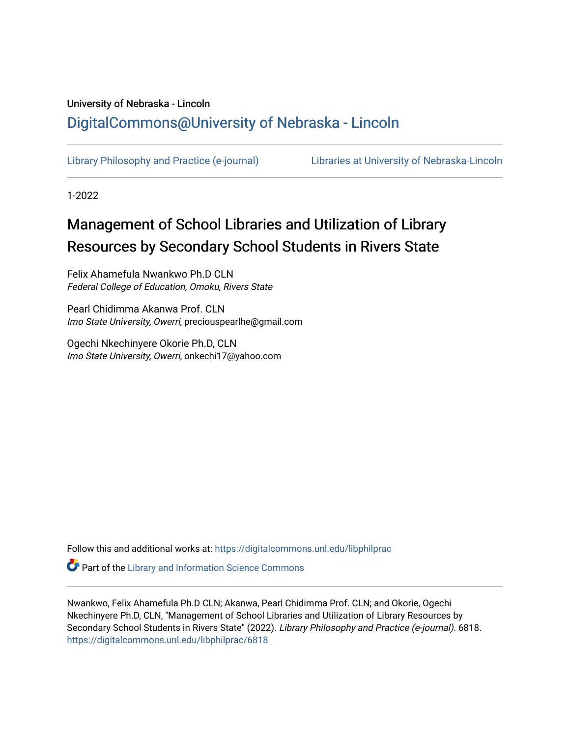# University of Nebraska - Lincoln [DigitalCommons@University of Nebraska - Lincoln](https://digitalcommons.unl.edu/)

[Library Philosophy and Practice \(e-journal\)](https://digitalcommons.unl.edu/libphilprac) [Libraries at University of Nebraska-Lincoln](https://digitalcommons.unl.edu/libraries) 

1-2022

# Management of School Libraries and Utilization of Library Resources by Secondary School Students in Rivers State

Felix Ahamefula Nwankwo Ph.D CLN Federal College of Education, Omoku, Rivers State

Pearl Chidimma Akanwa Prof. CLN Imo State University, Owerri, preciouspearlhe@gmail.com

Ogechi Nkechinyere Okorie Ph.D, CLN Imo State University, Owerri, onkechi17@yahoo.com

Follow this and additional works at: [https://digitalcommons.unl.edu/libphilprac](https://digitalcommons.unl.edu/libphilprac?utm_source=digitalcommons.unl.edu%2Flibphilprac%2F6818&utm_medium=PDF&utm_campaign=PDFCoverPages) 

**Part of the Library and Information Science Commons** 

Nwankwo, Felix Ahamefula Ph.D CLN; Akanwa, Pearl Chidimma Prof. CLN; and Okorie, Ogechi Nkechinyere Ph.D, CLN, "Management of School Libraries and Utilization of Library Resources by Secondary School Students in Rivers State" (2022). Library Philosophy and Practice (e-journal). 6818. [https://digitalcommons.unl.edu/libphilprac/6818](https://digitalcommons.unl.edu/libphilprac/6818?utm_source=digitalcommons.unl.edu%2Flibphilprac%2F6818&utm_medium=PDF&utm_campaign=PDFCoverPages)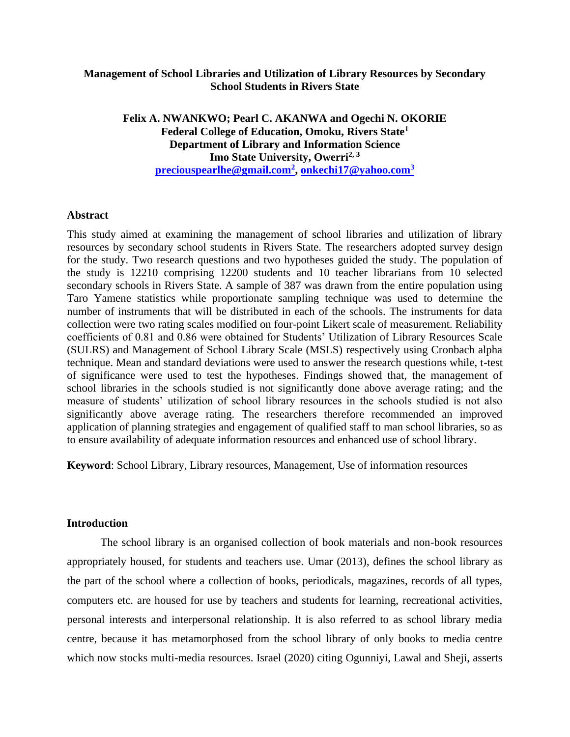# **Management of School Libraries and Utilization of Library Resources by Secondary School Students in Rivers State**

**Felix A. NWANKWO; Pearl C. AKANWA and Ogechi N. OKORIE Federal College of Education, Omoku, Rivers State<sup>1</sup> Department of Library and Information Science Imo State University, Owerri2, <sup>3</sup> [preciouspearlhe@gmail.com](mailto:preciouspearlhe@gmail.com2)<sup>2</sup> , [onkechi17@yahoo.com](mailto:onkechi17@yahoo.com3)<sup>3</sup>**

### **Abstract**

This study aimed at examining the management of school libraries and utilization of library resources by secondary school students in Rivers State. The researchers adopted survey design for the study. Two research questions and two hypotheses guided the study. The population of the study is 12210 comprising 12200 students and 10 teacher librarians from 10 selected secondary schools in Rivers State. A sample of 387 was drawn from the entire population using Taro Yamene statistics while proportionate sampling technique was used to determine the number of instruments that will be distributed in each of the schools. The instruments for data collection were two rating scales modified on four-point Likert scale of measurement. Reliability coefficients of 0.81 and 0.86 were obtained for Students' Utilization of Library Resources Scale (SULRS) and Management of School Library Scale (MSLS) respectively using Cronbach alpha technique. Mean and standard deviations were used to answer the research questions while, t-test of significance were used to test the hypotheses. Findings showed that, the management of school libraries in the schools studied is not significantly done above average rating; and the measure of students' utilization of school library resources in the schools studied is not also significantly above average rating. The researchers therefore recommended an improved application of planning strategies and engagement of qualified staff to man school libraries, so as to ensure availability of adequate information resources and enhanced use of school library.

**Keyword**: School Library, Library resources, Management, Use of information resources

### **Introduction**

The school library is an organised collection of book materials and non-book resources appropriately housed, for students and teachers use. Umar (2013), defines the school library as the part of the school where a collection of books, periodicals, magazines, records of all types, computers etc. are housed for use by teachers and students for learning, recreational activities, personal interests and interpersonal relationship. It is also referred to as school library media centre, because it has metamorphosed from the school library of only books to media centre which now stocks multi-media resources. Israel (2020) citing Ogunniyi, Lawal and Sheji, asserts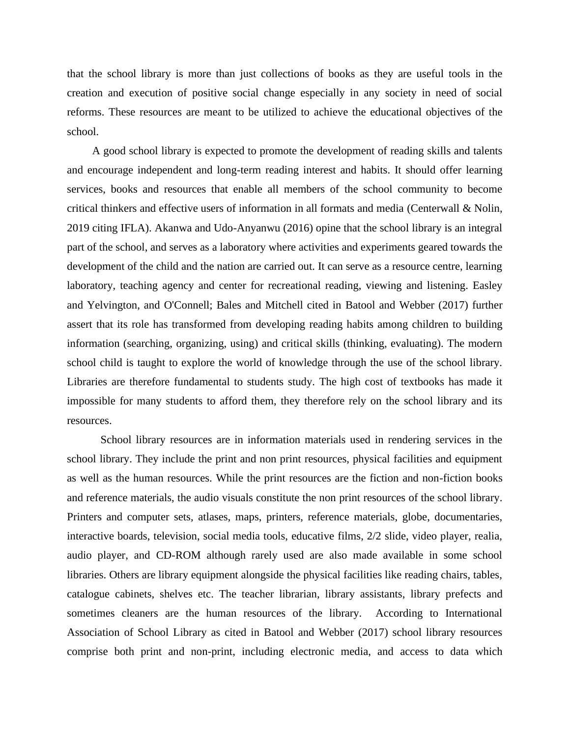that the school library is more than just collections of books as they are useful tools in the creation and execution of positive social change especially in any society in need of social reforms. These resources are meant to be utilized to achieve the educational objectives of the school.

A good school library is expected to promote the development of reading skills and talents and encourage independent and long-term reading interest and habits. It should offer learning services, books and resources that enable all members of the school community to become critical thinkers and effective users of information in all formats and media [\(Centerwall](http://informationr.net/ir/24-3/paper831.html#author) & [Nolin,](http://informationr.net/ir/24-3/paper831.html#author) 2019 citing IFLA). Akanwa and Udo-Anyanwu (2016) opine that the school library is an integral part of the school, and serves as a laboratory where activities and experiments geared towards the development of the child and the nation are carried out. It can serve as a resource centre, learning laboratory, teaching agency and center for recreational reading, viewing and listening. Easley and Yelvington, and O'Connell; Bales and Mitchell cited in [Batool](http://informationr.net/ir/22-1/colis/colis1606.html#author) and [Webber](http://informationr.net/ir/22-1/colis/colis1606.html#author) (2017) further assert that its role has transformed from developing reading habits among children to building information (searching, organizing, using) and critical skills (thinking, evaluating). The modern school child is taught to explore the world of knowledge through the use of the school library. Libraries are therefore fundamental to students study. The high cost of textbooks has made it impossible for many students to afford them, they therefore rely on the school library and its resources.

School library resources are in information materials used in rendering services in the school library. They include the print and non print resources, physical facilities and equipment as well as the human resources. While the print resources are the fiction and non-fiction books and reference materials, the audio visuals constitute the non print resources of the school library. Printers and computer sets, atlases, maps, printers, reference materials, globe, documentaries, interactive boards, television, social media tools, educative films, 2/2 slide, video player, realia, audio player, and CD-ROM although rarely used are also made available in some school libraries. Others are library equipment alongside the physical facilities like reading chairs, tables, catalogue cabinets, shelves etc. The teacher librarian, library assistants, library prefects and sometimes cleaners are the human resources of the library. According to International Association of School Library as cited in Batool and Webber (2017) school library resources comprise both print and non-print, including electronic media, and access to data which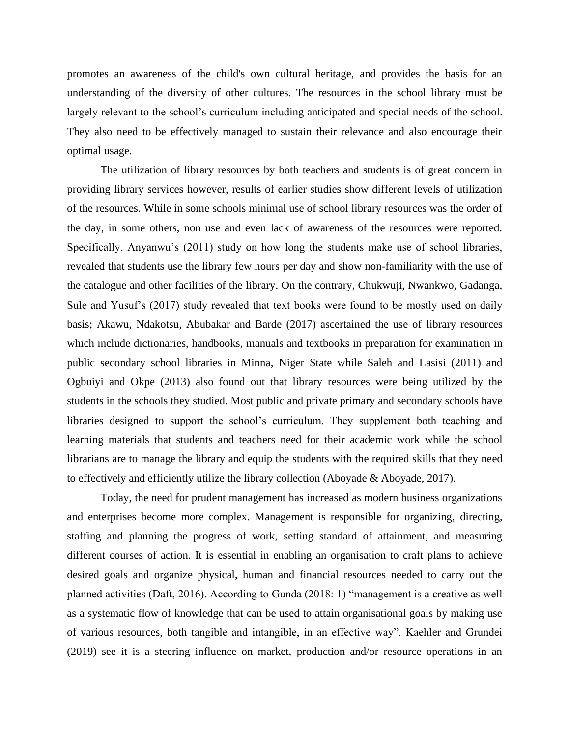promotes an awareness of the child's own cultural heritage, and provides the basis for an understanding of the diversity of other cultures. The resources in the school library must be largely relevant to the school's curriculum including anticipated and special needs of the school. They also need to be effectively managed to sustain their relevance and also encourage their optimal usage.

The utilization of library resources by both teachers and students is of great concern in providing library services however, results of earlier studies show different levels of utilization of the resources. While in some schools minimal use of school library resources was the order of the day, in some others, non use and even lack of awareness of the resources were reported. Specifically, Anyanwu's (2011) study on how long the students make use of school libraries, revealed that students use the library few hours per day and show non-familiarity with the use of the catalogue and other facilities of the library. On the contrary, Chukwuji, Nwankwo, Gadanga, Sule and Yusuf's (2017) study revealed that text books were found to be mostly used on daily basis; Akawu, Ndakotsu, Abubakar and Barde (2017) ascertained the use of library resources which include dictionaries, handbooks, manuals and textbooks in preparation for examination in public secondary school libraries in Minna, Niger State while Saleh and Lasisi (2011) and Ogbuiyi and Okpe (2013) also found out that library resources were being utilized by the students in the schools they studied. Most public and private primary and secondary schools have libraries designed to support the school's curriculum. They supplement both teaching and learning materials that students and teachers need for their academic work while the school librarians are to manage the library and equip the students with the required skills that they need to effectively and efficiently utilize the library collection (Aboyade & Aboyade, 2017).

Today, the need for prudent management has increased as modern business organizations and enterprises become more complex. Management is responsible for organizing, directing, staffing and planning the progress of work, setting standard of attainment, and measuring different courses of action. It is essential in enabling an organisation to craft plans to achieve desired goals and organize physical, human and financial resources needed to carry out the planned activities (Daft, 2016). According to Gunda (2018: 1) "management is a creative as well as a systematic flow of knowledge that can be used to attain organisational goals by making use of various resources, both tangible and intangible, in an effective way". Kaehler and Grundei (2019) see it is a steering influence on market, production and/or resource operations in an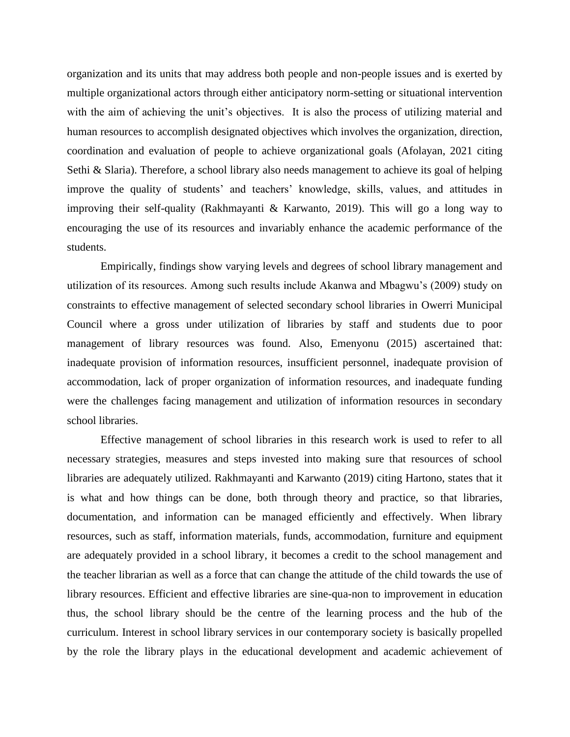organization and its units that may address both people and non-people issues and is exerted by multiple organizational actors through either anticipatory norm-setting or situational intervention with the aim of achieving the unit's objectives. It is also the process of utilizing material and human resources to accomplish designated objectives which involves the organization, direction, coordination and evaluation of people to achieve organizational goals (Afolayan, 2021 citing Sethi & Slaria). Therefore, a school library also needs management to achieve its goal of helping improve the quality of students' and teachers' knowledge, skills, values, and attitudes in improving their self-quality (Rakhmayanti & Karwanto, 2019). This will go a long way to encouraging the use of its resources and invariably enhance the academic performance of the students.

Empirically, findings show varying levels and degrees of school library management and utilization of its resources. Among such results include Akanwa and Mbagwu's (2009) study on constraints to effective management of selected secondary school libraries in Owerri Municipal Council where a gross under utilization of libraries by staff and students due to poor management of library resources was found. Also, Emenyonu (2015) ascertained that: inadequate provision of information resources, insufficient personnel, inadequate provision of accommodation, lack of proper organization of information resources, and inadequate funding were the challenges facing management and utilization of information resources in secondary school libraries.

Effective management of school libraries in this research work is used to refer to all necessary strategies, measures and steps invested into making sure that resources of school libraries are adequately utilized. Rakhmayanti and Karwanto (2019) citing Hartono, states that it is what and how things can be done, both through theory and practice, so that libraries, documentation, and information can be managed efficiently and effectively. When library resources, such as staff, information materials, funds, accommodation, furniture and equipment are adequately provided in a school library, it becomes a credit to the school management and the teacher librarian as well as a force that can change the attitude of the child towards the use of library resources. Efficient and effective libraries are sine-qua-non to improvement in education thus, the school library should be the centre of the learning process and the hub of the curriculum. Interest in school library services in our contemporary society is basically propelled by the role the library plays in the educational development and academic achievement of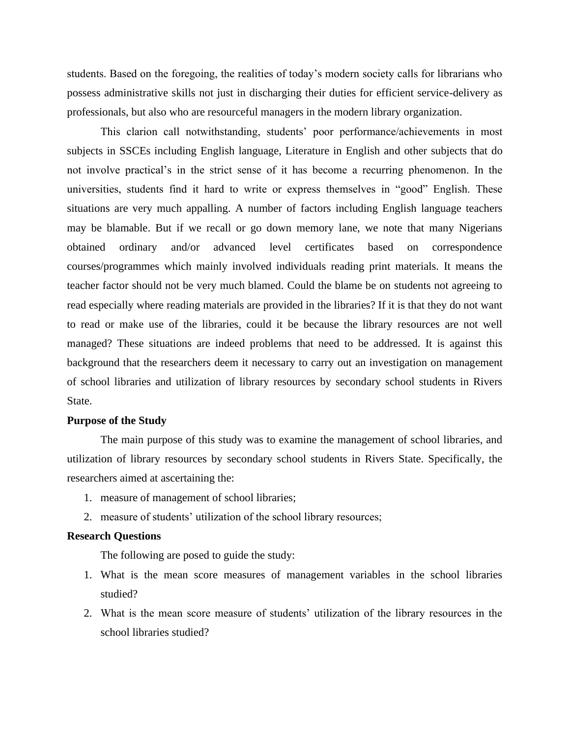students. Based on the foregoing, the realities of today's modern society calls for librarians who possess administrative skills not just in discharging their duties for efficient service-delivery as professionals, but also who are resourceful managers in the modern library organization.

This clarion call notwithstanding, students' poor performance/achievements in most subjects in SSCEs including English language, Literature in English and other subjects that do not involve practical's in the strict sense of it has become a recurring phenomenon. In the universities, students find it hard to write or express themselves in "good" English. These situations are very much appalling. A number of factors including English language teachers may be blamable. But if we recall or go down memory lane, we note that many Nigerians obtained ordinary and/or advanced level certificates based on correspondence courses/programmes which mainly involved individuals reading print materials. It means the teacher factor should not be very much blamed. Could the blame be on students not agreeing to read especially where reading materials are provided in the libraries? If it is that they do not want to read or make use of the libraries, could it be because the library resources are not well managed? These situations are indeed problems that need to be addressed. It is against this background that the researchers deem it necessary to carry out an investigation on management of school libraries and utilization of library resources by secondary school students in Rivers State.

### **Purpose of the Study**

The main purpose of this study was to examine the management of school libraries, and utilization of library resources by secondary school students in Rivers State. Specifically, the researchers aimed at ascertaining the:

- 1. measure of management of school libraries;
- 2. measure of students' utilization of the school library resources;

# **Research Questions**

The following are posed to guide the study:

- 1. What is the mean score measures of management variables in the school libraries studied?
- 2. What is the mean score measure of students' utilization of the library resources in the school libraries studied?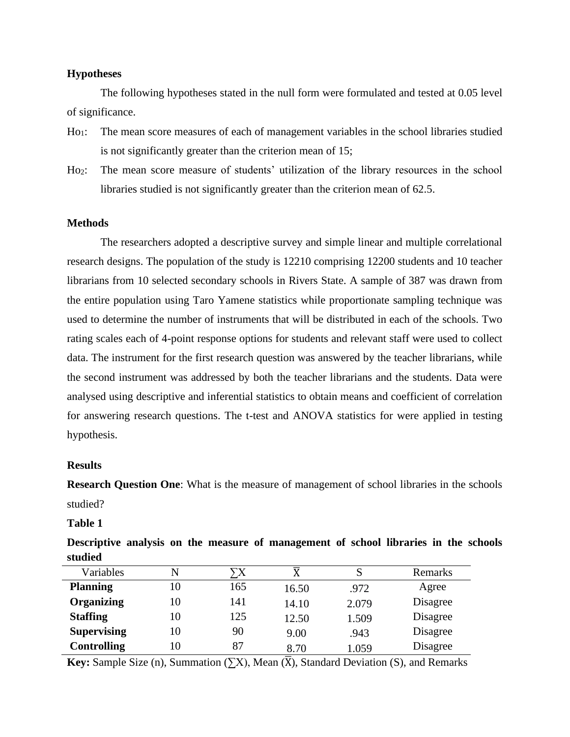# **Hypotheses**

The following hypotheses stated in the null form were formulated and tested at 0.05 level of significance.

- Ho1: The mean score measures of each of management variables in the school libraries studied is not significantly greater than the criterion mean of 15;
- Ho2: The mean score measure of students' utilization of the library resources in the school libraries studied is not significantly greater than the criterion mean of 62.5.

# **Methods**

The researchers adopted a descriptive survey and simple linear and multiple correlational research designs. The population of the study is 12210 comprising 12200 students and 10 teacher librarians from 10 selected secondary schools in Rivers State. A sample of 387 was drawn from the entire population using Taro Yamene statistics while proportionate sampling technique was used to determine the number of instruments that will be distributed in each of the schools. Two rating scales each of 4-point response options for students and relevant staff were used to collect data. The instrument for the first research question was answered by the teacher librarians, while the second instrument was addressed by both the teacher librarians and the students. Data were analysed using descriptive and inferential statistics to obtain means and coefficient of correlation for answering research questions. The t-test and ANOVA statistics for were applied in testing hypothesis.

### **Results**

**Research Question One**: What is the measure of management of school libraries in the schools studied?

**Table 1**

**Descriptive analysis on the measure of management of school libraries in the schools studied**

| Variables          | N  | `X  | $\overline{\text{X}}$ | S     | <b>Remarks</b> |
|--------------------|----|-----|-----------------------|-------|----------------|
| <b>Planning</b>    | 10 | 165 | 16.50                 | .972  | Agree          |
| <b>Organizing</b>  | 10 | 141 | 14.10                 | 2.079 | Disagree       |
| <b>Staffing</b>    | 10 | 125 | 12.50                 | 1.509 | Disagree       |
| <b>Supervising</b> | 10 | 90  | 9.00                  | .943  | Disagree       |
| <b>Controlling</b> | 10 | 87  | 8.70                  | 1.059 | Disagree       |

**Key:** Sample Size (n), Summation  $(\sum X)$ , Mean  $(\overline{X})$ , Standard Deviation (S), and Remarks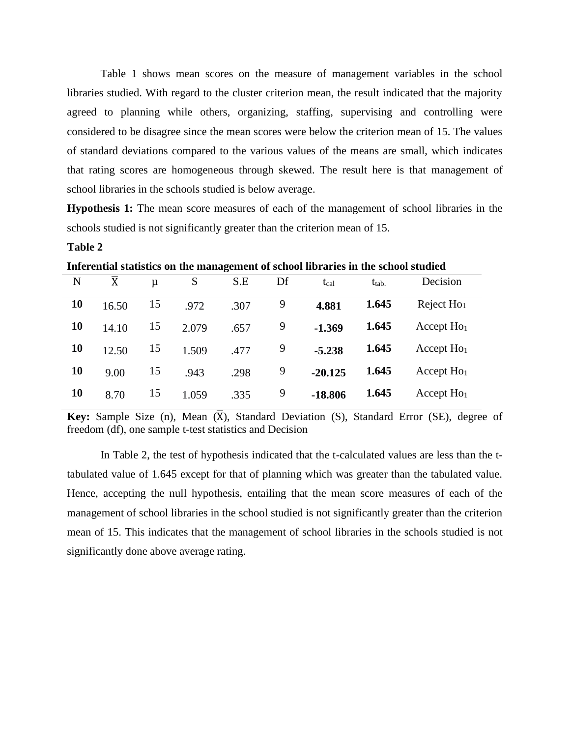Table 1 shows mean scores on the measure of management variables in the school libraries studied. With regard to the cluster criterion mean, the result indicated that the majority agreed to planning while others, organizing, staffing, supervising and controlling were considered to be disagree since the mean scores were below the criterion mean of 15. The values of standard deviations compared to the various values of the means are small, which indicates that rating scores are homogeneous through skewed. The result here is that management of school libraries in the schools studied is below average.

**Hypothesis 1:** The mean score measures of each of the management of school libraries in the schools studied is not significantly greater than the criterion mean of 15.

# **Table 2**

**Inferential statistics on the management of school libraries in the school studied**

|    |                       |    |       | ີ    |    |                  |            |              |
|----|-----------------------|----|-------|------|----|------------------|------------|--------------|
| N  | $\overline{\text{X}}$ | μ  | S     | S.E  | Df | t <sub>cal</sub> | $t_{tab.}$ | Decision     |
| 10 | 16.50                 | 15 | .972  | .307 | 9  | 4.881            | 1.645      | Reject $Ho1$ |
| 10 | 14.10                 | 15 | 2.079 | .657 | 9  | $-1.369$         | 1.645      | Accept $Ho1$ |
| 10 | 12.50                 | 15 | 1.509 | .477 | 9  | $-5.238$         | 1.645      | Accept $Ho1$ |
| 10 | 9.00                  | 15 | .943  | .298 | 9  | $-20.125$        | 1.645      | Accept $Ho1$ |
| 10 | 8.70                  | 15 | 1.059 | .335 | 9  | $-18.806$        | 1.645      | Accept $Ho1$ |
|    |                       |    |       |      |    |                  |            |              |

**Key:** Sample Size (n), Mean  $(\overline{X})$ , Standard Deviation (S), Standard Error (SE), degree of freedom (df), one sample t-test statistics and Decision

In Table 2, the test of hypothesis indicated that the t-calculated values are less than the ttabulated value of 1.645 except for that of planning which was greater than the tabulated value. Hence, accepting the null hypothesis, entailing that the mean score measures of each of the management of school libraries in the school studied is not significantly greater than the criterion mean of 15. This indicates that the management of school libraries in the schools studied is not significantly done above average rating.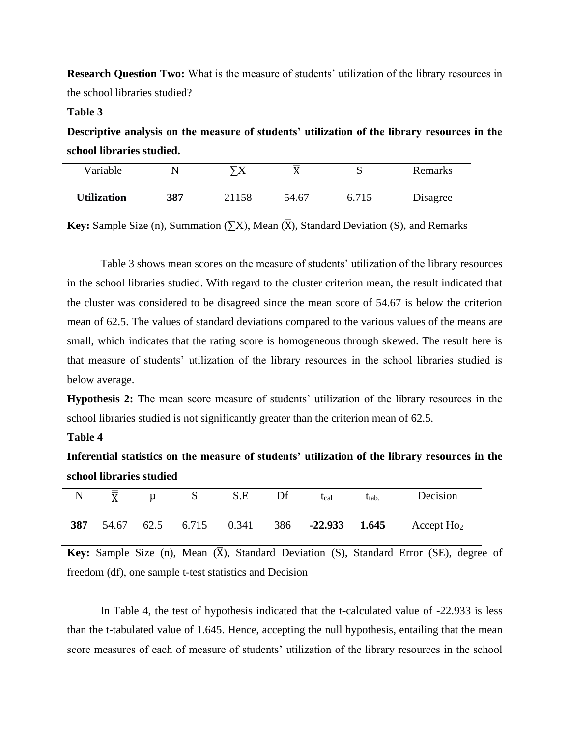**Research Question Two:** What is the measure of students' utilization of the library resources in the school libraries studied?

# **Table 3**

**Descriptive analysis on the measure of students' utilization of the library resources in the school libraries studied.**

| Variable           | ╲   | ᠭ᠊ᢦ   |       |       | Remarks  |
|--------------------|-----|-------|-------|-------|----------|
| <b>Utilization</b> | 387 | 21158 | 54.67 | 6.715 | Disagree |

**Key:** Sample Size (n), Summation  $(\sum X)$ , Mean  $(\overline{X})$ , Standard Deviation (S), and Remarks

Table 3 shows mean scores on the measure of students' utilization of the library resources in the school libraries studied. With regard to the cluster criterion mean, the result indicated that the cluster was considered to be disagreed since the mean score of 54.67 is below the criterion mean of 62.5. The values of standard deviations compared to the various values of the means are small, which indicates that the rating score is homogeneous through skewed. The result here is that measure of students' utilization of the library resources in the school libraries studied is below average.

**Hypothesis 2:** The mean score measure of students' utilization of the library resources in the school libraries studied is not significantly greater than the criterion mean of 62.5.

# **Table 4**

**Inferential statistics on the measure of students' utilization of the library resources in the school libraries studied**

| $\mathbf N$ | $\overline{\overline{x}}$ | u | S.E | $\mathbf{D}$ f | t <sub>cal</sub> | t <sub>tab</sub> | Decision                                                               |
|-------------|---------------------------|---|-----|----------------|------------------|------------------|------------------------------------------------------------------------|
| 387         |                           |   |     |                |                  |                  | 54.67 62.5 6.715 0.341 386 <b>-22.933 1.645</b> Accept Ho <sub>2</sub> |

**Key:** Sample Size (n), Mean  $(\overline{X})$ , Standard Deviation (S), Standard Error (SE), degree of freedom (df), one sample t-test statistics and Decision

In Table 4, the test of hypothesis indicated that the t-calculated value of -22.933 is less than the t-tabulated value of 1.645. Hence, accepting the null hypothesis, entailing that the mean score measures of each of measure of students' utilization of the library resources in the school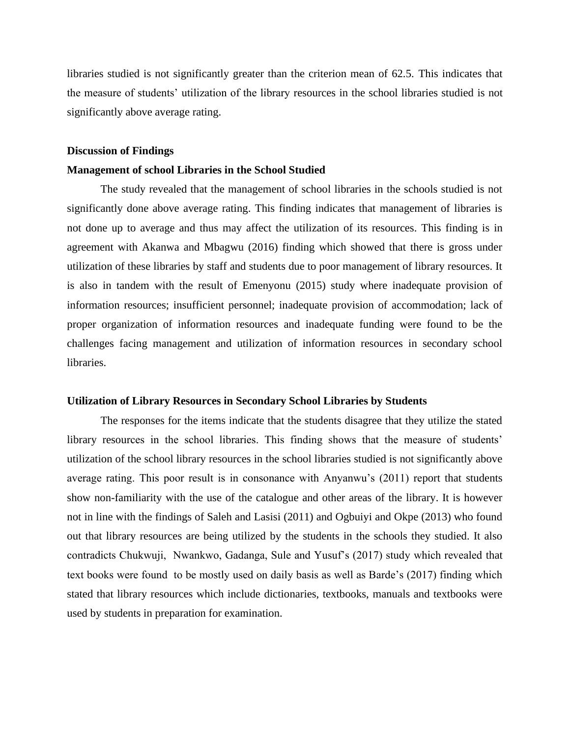libraries studied is not significantly greater than the criterion mean of 62.5. This indicates that the measure of students' utilization of the library resources in the school libraries studied is not significantly above average rating.

#### **Discussion of Findings**

### **Management of school Libraries in the School Studied**

The study revealed that the management of school libraries in the schools studied is not significantly done above average rating. This finding indicates that management of libraries is not done up to average and thus may affect the utilization of its resources. This finding is in agreement with Akanwa and Mbagwu (2016) finding which showed that there is gross under utilization of these libraries by staff and students due to poor management of library resources. It is also in tandem with the result of Emenyonu (2015) study where inadequate provision of information resources; insufficient personnel; inadequate provision of accommodation; lack of proper organization of information resources and inadequate funding were found to be the challenges facing management and utilization of information resources in secondary school libraries.

#### **Utilization of Library Resources in Secondary School Libraries by Students**

The responses for the items indicate that the students disagree that they utilize the stated library resources in the school libraries. This finding shows that the measure of students' utilization of the school library resources in the school libraries studied is not significantly above average rating. This poor result is in consonance with Anyanwu's (2011) report that students show non-familiarity with the use of the catalogue and other areas of the library. It is however not in line with the findings of Saleh and Lasisi (2011) and Ogbuiyi and Okpe (2013) who found out that library resources are being utilized by the students in the schools they studied. It also contradicts Chukwuji, Nwankwo, Gadanga, Sule and Yusuf's (2017) study which revealed that text books were found to be mostly used on daily basis as well as Barde's (2017) finding which stated that library resources which include dictionaries, textbooks, manuals and textbooks were used by students in preparation for examination.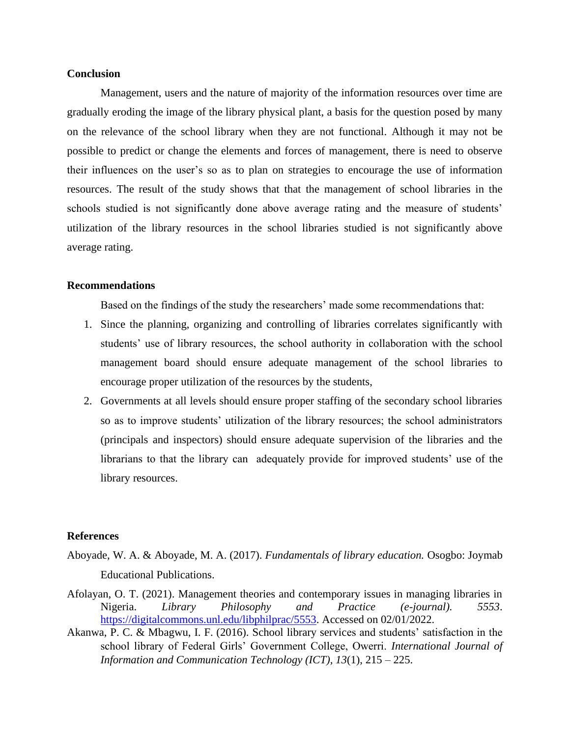## **Conclusion**

Management, users and the nature of majority of the information resources over time are gradually eroding the image of the library physical plant, a basis for the question posed by many on the relevance of the school library when they are not functional. Although it may not be possible to predict or change the elements and forces of management, there is need to observe their influences on the user's so as to plan on strategies to encourage the use of information resources. The result of the study shows that that the management of school libraries in the schools studied is not significantly done above average rating and the measure of students' utilization of the library resources in the school libraries studied is not significantly above average rating.

#### **Recommendations**

Based on the findings of the study the researchers' made some recommendations that:

- 1. Since the planning, organizing and controlling of libraries correlates significantly with students' use of library resources, the school authority in collaboration with the school management board should ensure adequate management of the school libraries to encourage proper utilization of the resources by the students,
- 2. Governments at all levels should ensure proper staffing of the secondary school libraries so as to improve students' utilization of the library resources; the school administrators (principals and inspectors) should ensure adequate supervision of the libraries and the librarians to that the library can adequately provide for improved students' use of the library resources.

#### **References**

- Aboyade, W. A. & Aboyade, M. A. (2017). *Fundamentals of library education.* Osogbo: Joymab Educational Publications.
- Afolayan, O. T. (2021). Management theories and contemporary issues in managing libraries in Nigeria. *Library Philosophy and Practice (e-journal). 5553*. [https://digitalcommons.unl.edu/libphilprac/5553.](https://digitalcommons.unl.edu/libphilprac/5553) Accessed on 02/01/2022.
- Akanwa, P. C. & Mbagwu, I. F. (2016). School library services and students' satisfaction in the school library of Federal Girls' Government College, Owerri. *International Journal of Information and Communication Technology (ICT), 13*(1), 215 – 225.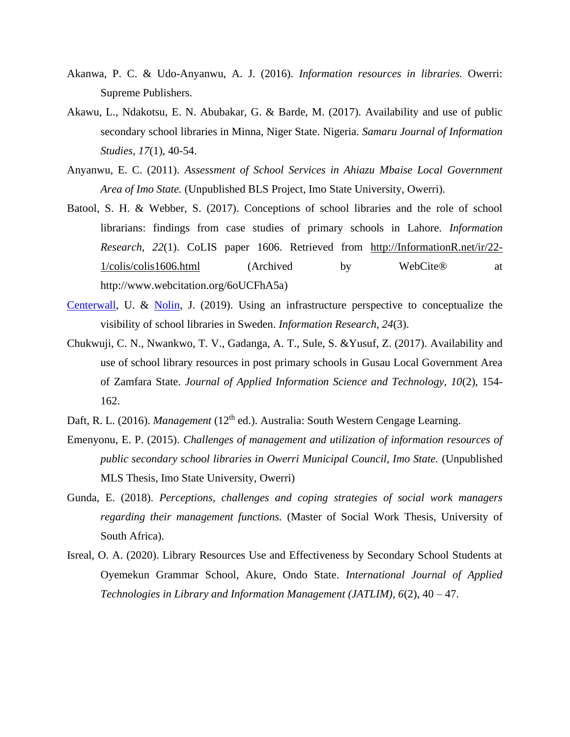- Akanwa, P. C. & Udo-Anyanwu, A. J. (2016). *Information resources in libraries.* Owerri: Supreme Publishers.
- Akawu, L., Ndakotsu, E. N. Abubakar, G. & Barde, M. (2017). Availability and use of public secondary school libraries in Minna, Niger State. Nigeria. *Samaru Journal of Information Studies, 17*(1), 40-54.
- Anyanwu, E. C. (2011). *Assessment of School Services in Ahiazu Mbaise Local Government Area of Imo State.* (Unpublished BLS Project, Imo State University, Owerri).
- [Batool,](http://informationr.net/ir/22-1/colis/colis1606.html#author) S. H. & [Webber,](http://informationr.net/ir/22-1/colis/colis1606.html#author) S. (2017). Conceptions of school libraries and the role of school librarians: findings from case studies of primary schools in Lahore. *Information Research, 22*(1). CoLIS paper 1606. Retrieved from [http://InformationR.net/ir/22-](http://informationr.net/ir/22-1/colis/colis1606.html) [1/colis/colis1606.html](http://informationr.net/ir/22-1/colis/colis1606.html) (Archived by WebCite® at http://www.webcitation.org/6oUCFhA5a)
- [Centerwall,](http://informationr.net/ir/24-3/paper831.html#author) U. & [Nolin,](http://informationr.net/ir/24-3/paper831.html#author) J. (2019). Using an infrastructure perspective to conceptualize the visibility of school libraries in Sweden. *Information Research, 24*(3).
- Chukwuji, C. N., Nwankwo, T. V., Gadanga, A. T., Sule, S. &Yusuf, Z. (2017). Availability and use of school library resources in post primary schools in Gusau Local Government Area of Zamfara State. *Journal of Applied Information Science and Technology, 10*(2), 154- 162.
- Daft, R. L. (2016). *Management* (12<sup>th</sup> ed.). Australia: South Western Cengage Learning.
- Emenyonu, E. P. (2015). *Challenges of management and utilization of information resources of public secondary school libraries in Owerri Municipal Council, Imo State.* (Unpublished MLS Thesis, Imo State University, Owerri)
- Gunda, E. (2018). *Perceptions, challenges and coping strategies of social work managers regarding their management functions.* (Master of Social Work Thesis, University of South Africa).
- Isreal, O. A. (2020). Library Resources Use and Effectiveness by Secondary School Students at Oyemekun Grammar School, Akure, Ondo State. *International Journal of Applied Technologies in Library and Information Management (JATLIM), 6*(2), 40 – 47.